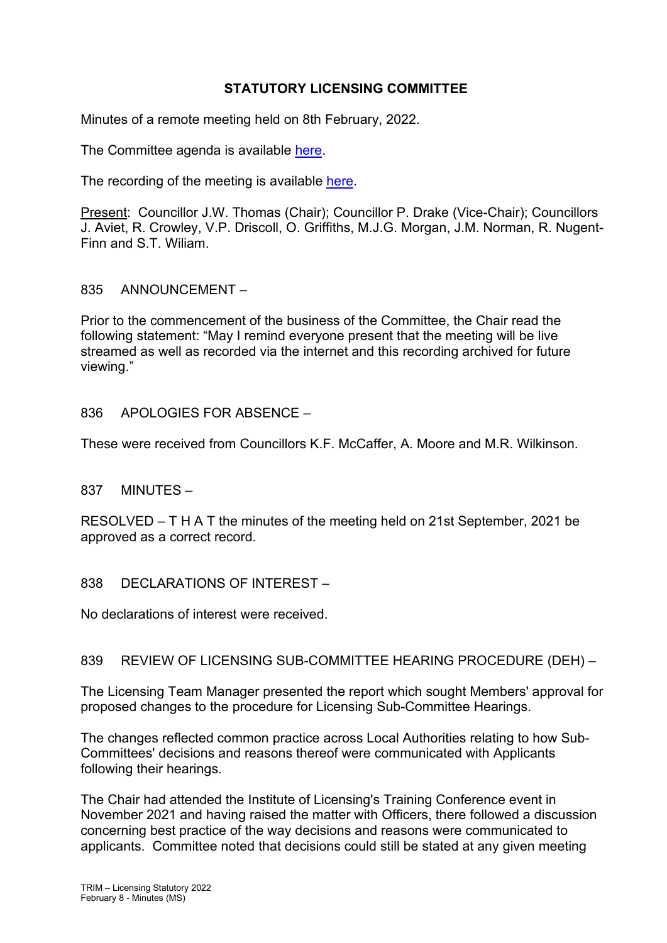# **STATUTORY LICENSING COMMITTEE**

Minutes of a remote meeting held on 8th February, 2022.

The Committee agenda is available [here.](https://www.valeofglamorgan.gov.uk/en/our_council/Council-Structure/minutes,_agendas_and_reports/agendas/Licensing-Statutory/2022/22-02-08.aspx)

The recording of the meeting is available [here.](https://youtu.be/VSeEMJsB7t8)

Present: Councillor J.W. Thomas (Chair); Councillor P. Drake (Vice-Chair); Councillors J. Aviet, R. Crowley, V.P. Driscoll, O. Griffiths, M.J.G. Morgan, J.M. Norman, R. Nugent-Finn and S.T. Wiliam.

## 835 ANNOUNCEMENT –

Prior to the commencement of the business of the Committee, the Chair read the following statement: "May I remind everyone present that the meeting will be live streamed as well as recorded via the internet and this recording archived for future viewing."

## 836 APOLOGIES FOR ABSENCE –

These were received from Councillors K.F. McCaffer, A. Moore and M.R. Wilkinson.

## 837 MINUTES –

RESOLVED – T H A T the minutes of the meeting held on 21st September, 2021 be approved as a correct record.

## 838 DECLARATIONS OF INTEREST –

No declarations of interest were received.

## 839 REVIEW OF LICENSING SUB-COMMITTEE HEARING PROCEDURE (DEH) –

The Licensing Team Manager presented the report which sought Members' approval for proposed changes to the procedure for Licensing Sub-Committee Hearings.

The changes reflected common practice across Local Authorities relating to how Sub-Committees' decisions and reasons thereof were communicated with Applicants following their hearings.

The Chair had attended the Institute of Licensing's Training Conference event in November 2021 and having raised the matter with Officers, there followed a discussion concerning best practice of the way decisions and reasons were communicated to applicants. Committee noted that decisions could still be stated at any given meeting